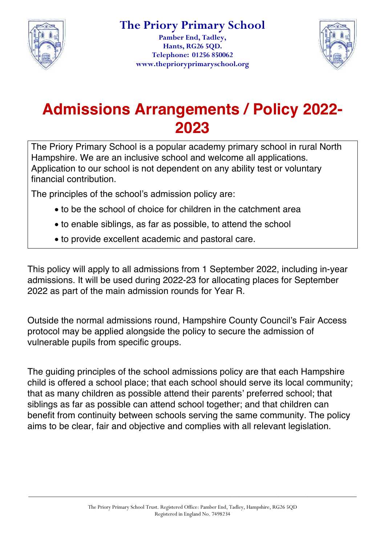

**Pamber End, Tadley, Hants, RG26 5QD. Telephone: 01256 850062 www.theprioryprimaryschool.org**



# **Admissions Arrangements / Policy 2022- 2023**

The Priory Primary School is a popular academy primary school in rural North Hampshire. We are an inclusive school and welcome all applications. Application to our school is not dependent on any ability test or voluntary financial contribution.

The principles of the school's admission policy are:

- to be the school of choice for children in the catchment area
- to enable siblings, as far as possible, to attend the school
- to provide excellent academic and pastoral care.

This policy will apply to all admissions from 1 September 2022, including in-year admissions. It will be used during 2022-23 for allocating places for September 2022 as part of the main admission rounds for Year R.

Outside the normal admissions round, Hampshire County Council's Fair Access protocol may be applied alongside the policy to secure the admission of vulnerable pupils from specific groups.

The guiding principles of the school admissions policy are that each Hampshire child is offered a school place; that each school should serve its local community; that as many children as possible attend their parents' preferred school; that siblings as far as possible can attend school together; and that children can benefit from continuity between schools serving the same community. The policy aims to be clear, fair and objective and complies with all relevant legislation.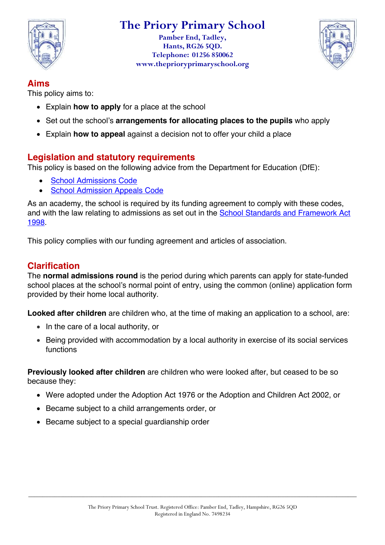

**Pamber End, Tadley, Hants, RG26 5QD. Telephone: 01256 850062 www.theprioryprimaryschool.org**



#### **Aims**

This policy aims to:

- Explain **how to apply** for a place at the school
- Set out the school's **arrangements for allocating places to the pupils** who apply
- Explain **how to appeal** against a decision not to offer your child a place

# **Legislation and statutory requirements**

This policy is based on the following advice from the Department for Education (DfE):

- School Admissions Code
- School Admission Appeals Code

As an academy, the school is required by its funding agreement to comply with these codes, and with the law relating to admissions as set out in the School Standards and Framework Act 1998.

This policy complies with our funding agreement and articles of association.

# **Clarification**

The **normal admissions round** is the period during which parents can apply for state-funded school places at the school's normal point of entry, using the common (online) application form provided by their home local authority.

**Looked after children** are children who, at the time of making an application to a school, are:

- In the care of a local authority, or
- Being provided with accommodation by a local authority in exercise of its social services functions

**Previously looked after children** are children who were looked after, but ceased to be so because they:

- Were adopted under the Adoption Act 1976 or the Adoption and Children Act 2002, or
- Became subject to a child arrangements order, or
- Became subject to a special guardianship order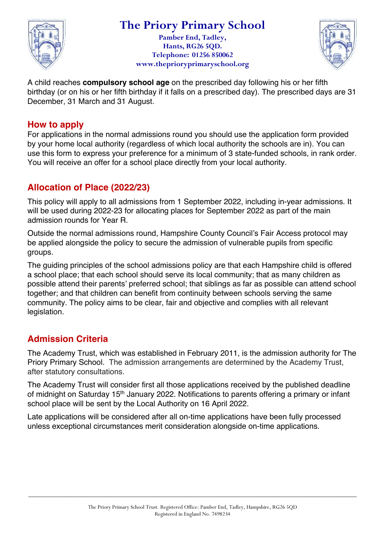

**Pamber End, Tadley, Hants, RG26 5QD. Telephone: 01256 850062 www.theprioryprimaryschool.org**



A child reaches **compulsory school age** on the prescribed day following his or her fifth birthday (or on his or her fifth birthday if it falls on a prescribed day). The prescribed days are 31 December, 31 March and 31 August.

### **How to apply**

For applications in the normal admissions round you should use the application form provided by your home local authority (regardless of which local authority the schools are in). You can use this form to express your preference for a minimum of 3 state-funded schools, in rank order. You will receive an offer for a school place directly from your local authority.

# **Allocation of Place (2022/23)**

This policy will apply to all admissions from 1 September 2022, including in-year admissions. It will be used during 2022-23 for allocating places for September 2022 as part of the main admission rounds for Year R.

Outside the normal admissions round, Hampshire County Council's Fair Access protocol may be applied alongside the policy to secure the admission of vulnerable pupils from specific groups.

The guiding principles of the school admissions policy are that each Hampshire child is offered a school place; that each school should serve its local community; that as many children as possible attend their parents' preferred school; that siblings as far as possible can attend school together; and that children can benefit from continuity between schools serving the same community. The policy aims to be clear, fair and objective and complies with all relevant legislation.

# **Admission Criteria**

The Academy Trust, which was established in February 2011, is the admission authority for The Priory Primary School. The admission arrangements are determined by the Academy Trust, after statutory consultations.

The Academy Trust will consider first all those applications received by the published deadline of midnight on Saturday 15<sup>th</sup> January 2022. Notifications to parents offering a primary or infant school place will be sent by the Local Authority on 16 April 2022.

Late applications will be considered after all on-time applications have been fully processed unless exceptional circumstances merit consideration alongside on-time applications.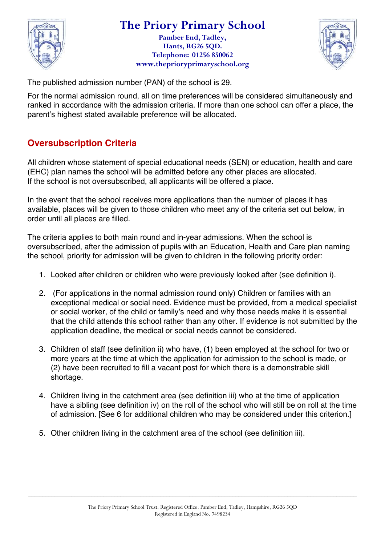

**Pamber End, Tadley, Hants, RG26 5QD. Telephone: 01256 850062 www.theprioryprimaryschool.org**



The published admission number (PAN) of the school is 29.

For the normal admission round, all on time preferences will be considered simultaneously and ranked in accordance with the admission criteria. If more than one school can offer a place, the parent's highest stated available preference will be allocated.

# **Oversubscription Criteria**

All children whose statement of special educational needs (SEN) or education, health and care (EHC) plan names the school will be admitted before any other places are allocated. If the school is not oversubscribed, all applicants will be offered a place.

In the event that the school receives more applications than the number of places it has available, places will be given to those children who meet any of the criteria set out below, in order until all places are filled.

The criteria applies to both main round and in-year admissions. When the school is oversubscribed, after the admission of pupils with an Education, Health and Care plan naming the school, priority for admission will be given to children in the following priority order:

- 1. Looked after children or children who were previously looked after (see definition i).
- 2. (For applications in the normal admission round only) Children or families with an exceptional medical or social need. Evidence must be provided, from a medical specialist or social worker, of the child or family's need and why those needs make it is essential that the child attends this school rather than any other. If evidence is not submitted by the application deadline, the medical or social needs cannot be considered.
- 3. Children of staff (see definition ii) who have, (1) been employed at the school for two or more years at the time at which the application for admission to the school is made, or (2) have been recruited to fill a vacant post for which there is a demonstrable skill shortage.
- 4. Children living in the catchment area (see definition iii) who at the time of application have a sibling (see definition iv) on the roll of the school who will still be on roll at the time of admission. [See 6 for additional children who may be considered under this criterion.]
- 5. Other children living in the catchment area of the school (see definition iii).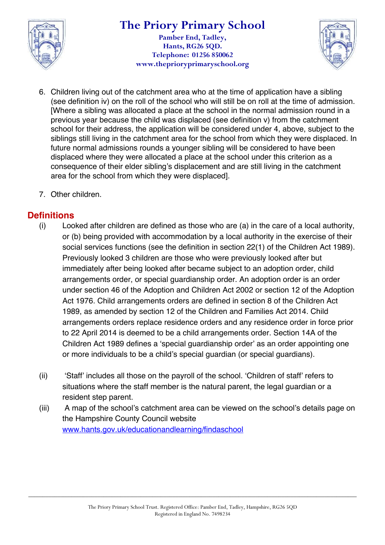

#### **The Priory Primary School Pamber End, Tadley, Hants, RG26 5QD. Telephone: 01256 850062 www.theprioryprimaryschool.org**



- 6. Children living out of the catchment area who at the time of application have a sibling (see definition iv) on the roll of the school who will still be on roll at the time of admission. [Where a sibling was allocated a place at the school in the normal admission round in a previous year because the child was displaced (see definition v) from the catchment school for their address, the application will be considered under 4, above, subject to the siblings still living in the catchment area for the school from which they were displaced. In future normal admissions rounds a younger sibling will be considered to have been displaced where they were allocated a place at the school under this criterion as a consequence of their elder sibling's displacement and are still living in the catchment area for the school from which they were displaced].
- 7. Other children.

# **Definitions**

- (i) Looked after children are defined as those who are (a) in the care of a local authority, or (b) being provided with accommodation by a local authority in the exercise of their social services functions (see the definition in section 22(1) of the Children Act 1989). Previously looked 3 children are those who were previously looked after but immediately after being looked after became subject to an adoption order, child arrangements order, or special guardianship order. An adoption order is an order under section 46 of the Adoption and Children Act 2002 or section 12 of the Adoption Act 1976. Child arrangements orders are defined in section 8 of the Children Act 1989, as amended by section 12 of the Children and Families Act 2014. Child arrangements orders replace residence orders and any residence order in force prior to 22 April 2014 is deemed to be a child arrangements order. Section 14A of the Children Act 1989 defines a 'special guardianship order' as an order appointing one or more individuals to be a child's special guardian (or special guardians).
- (ii) 'Staff' includes all those on the payroll of the school. 'Children of staff' refers to situations where the staff member is the natural parent, the legal guardian or a resident step parent.
- (iii) A map of the school's catchment area can be viewed on the school's details page on the Hampshire County Council website www.hants.gov.uk/educationandlearning/findaschool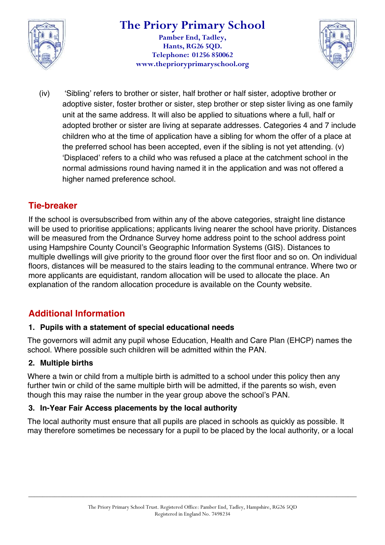

#### **The Priory Primary School Pamber End, Tadley, Hants, RG26 5QD. Telephone: 01256 850062 www.theprioryprimaryschool.org**



(iv) 'Sibling' refers to brother or sister, half brother or half sister, adoptive brother or adoptive sister, foster brother or sister, step brother or step sister living as one family unit at the same address. It will also be applied to situations where a full, half or adopted brother or sister are living at separate addresses. Categories 4 and 7 include children who at the time of application have a sibling for whom the offer of a place at the preferred school has been accepted, even if the sibling is not yet attending. (v) 'Displaced' refers to a child who was refused a place at the catchment school in the normal admissions round having named it in the application and was not offered a higher named preference school.

# **Tie-breaker**

If the school is oversubscribed from within any of the above categories, straight line distance will be used to prioritise applications; applicants living nearer the school have priority. Distances will be measured from the Ordnance Survey home address point to the school address point using Hampshire County Council's Geographic Information Systems (GIS). Distances to multiple dwellings will give priority to the ground floor over the first floor and so on. On individual floors, distances will be measured to the stairs leading to the communal entrance. Where two or more applicants are equidistant, random allocation will be used to allocate the place. An explanation of the random allocation procedure is available on the County website.

# **Additional Information**

#### **1. Pupils with a statement of special educational needs**

The governors will admit any pupil whose Education, Health and Care Plan (EHCP) names the school. Where possible such children will be admitted within the PAN.

#### **2. Multiple births**

Where a twin or child from a multiple birth is admitted to a school under this policy then any further twin or child of the same multiple birth will be admitted, if the parents so wish, even though this may raise the number in the year group above the school's PAN.

#### **3. In-Year Fair Access placements by the local authority**

The local authority must ensure that all pupils are placed in schools as quickly as possible. It may therefore sometimes be necessary for a pupil to be placed by the local authority, or a local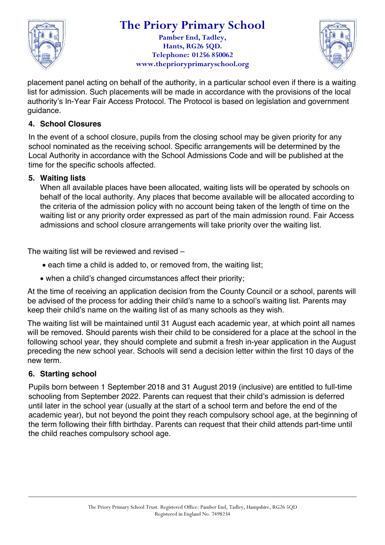

**Pamber End, Tadley, Hants, RG26 5QD. Telephone: 01256 850062 www.theprioryprimaryschool.org**



placement panel acting on behalf of the authority, in a particular school even if there is a waiting list for admission. Such placements will be made in accordance with the provisions of the local authority's In-Year Fair Access Protocol. The Protocol is based on legislation and government guidance.

#### **4. School Closures**

In the event of a school closure, pupils from the closing school may be given priority for any school nominated as the receiving school. Specific arrangements will be determined by the Local Authority in accordance with the School Admissions Code and will be published at the time for the specific schools affected.

#### **5. Waiting lists**

When all available places have been allocated, waiting lists will be operated by schools on behalf of the local authority. Any places that become available will be allocated according to the criteria of the admission policy with no account being taken of the length of time on the waiting list or any priority order expressed as part of the main admission round. Fair Access admissions and school closure arrangements will take priority over the waiting list.

The waiting list will be reviewed and revised –

- each time a child is added to, or removed from, the waiting list;
- when a child's changed circumstances affect their priority;

At the time of receiving an application decision from the County Council or a school, parents will be advised of the process for adding their child's name to a school's waiting list. Parents may keep their child's name on the waiting list of as many schools as they wish.

The waiting list will be maintained until 31 August each academic year, at which point all names will be removed. Should parents wish their child to be considered for a place at the school in the following school year, they should complete and submit a fresh in-year application in the August preceding the new school year. Schools will send a decision letter within the first 10 days of the new term.

#### **6. Starting school**

Pupils born between 1 September 2018 and 31 August 2019 (inclusive) are entitled to full-time schooling from September 2022. Parents can request that their child's admission is deferred until later in the school year (usually at the start of a school term and before the end of the academic year), but not beyond the point they reach compulsory school age, at the beginning of the term following their fifth birthday. Parents can request that their child attends part-time until the child reaches compulsory school age.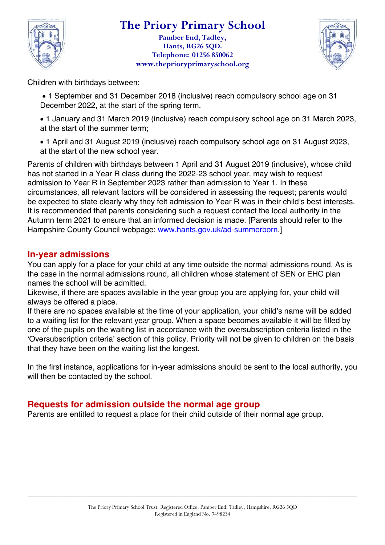

**Pamber End, Tadley, Hants, RG26 5QD. Telephone: 01256 850062 www.theprioryprimaryschool.org**



Children with birthdays between:

• 1 September and 31 December 2018 (inclusive) reach compulsory school age on 31 December 2022, at the start of the spring term.

• 1 January and 31 March 2019 (inclusive) reach compulsory school age on 31 March 2023, at the start of the summer term;

• 1 April and 31 August 2019 (inclusive) reach compulsory school age on 31 August 2023, at the start of the new school year.

Parents of children with birthdays between 1 April and 31 August 2019 (inclusive), whose child has not started in a Year R class during the 2022-23 school year, may wish to request admission to Year R in September 2023 rather than admission to Year 1. In these circumstances, all relevant factors will be considered in assessing the request; parents would be expected to state clearly why they felt admission to Year R was in their child's best interests. It is recommended that parents considering such a request contact the local authority in the Autumn term 2021 to ensure that an informed decision is made. [Parents should refer to the Hampshire County Council webpage: www.hants.gov.uk/ad-summerborn.]

### **In-year admissions**

You can apply for a place for your child at any time outside the normal admissions round. As is the case in the normal admissions round, all children whose statement of SEN or EHC plan names the school will be admitted.

Likewise, if there are spaces available in the year group you are applying for, your child will always be offered a place.

If there are no spaces available at the time of your application, your child's name will be added to a waiting list for the relevant year group. When a space becomes available it will be filled by one of the pupils on the waiting list in accordance with the oversubscription criteria listed in the 'Oversubscription criteria' section of this policy. Priority will not be given to children on the basis that they have been on the waiting list the longest.

In the first instance, applications for in-year admissions should be sent to the local authority, you will then be contacted by the school.

### **Requests for admission outside the normal age group**

Parents are entitled to request a place for their child outside of their normal age group.